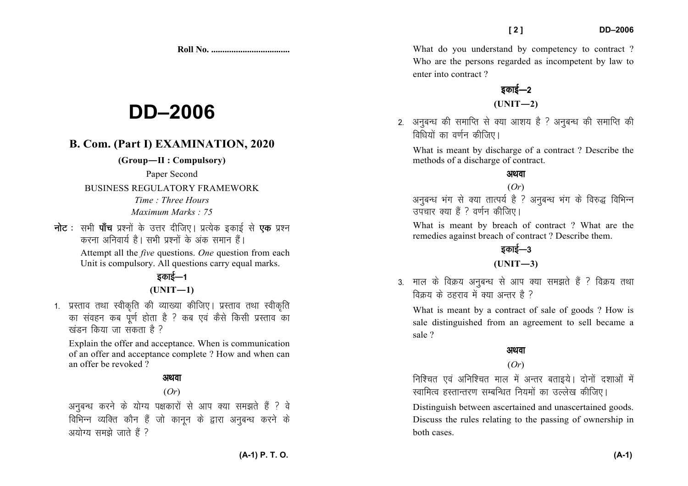**Roll No. ...................................** 

# **DD–2006**

## **B. Com. (Part I) EXAMINATION, 2020**

**(Group—II : Compulsory)** 

Paper Second

BUSINESS REGULATORY FRAMEWORK

*Time : Three Hours Maximum Marks : 75*

**नोट** : सभी **पाँच** प्रश्नों के उत्तर दीजिए। प्रत्येक इकाई से **एक** प्रश्न करना अनिवार्य है। सभी प्रश्नों के अंक समान हैं। Attempt all the *five* questions. *One* question from each

Unit is compulsory. All questions carry equal marks.

## डकाई $-1$  $(UNIT-1)$

1. प्रस्ताव तथा स्वीकृति की व्याख्या कीजिए। प्रस्ताव तथा स्वीकृति का संवहन कब पूर्ण होता है ? कब एवं कैसे किसी प्रस्ताव का खंडन किया जा संकता है ?

Explain the offer and acceptance. When is communication of an offer and acceptance complete ? How and when can an offer be revoked ?

### अथवा

#### (*Or*)

अनुबन्ध करने के योग्य पक्षकारों से आप क्या समझते हैं ? वे विभिन्न व्यक्ति कौन हैं जो कानून के द्वारा अनुबन्ध करने के  $3$ योग्य समझे जाते हैं ?

What do you understand by competency to contract ? Who are the persons regarded as incompetent by law to enter into contract ?

## डकाई—2 **(UNIT—2)**

2. अनुबन्ध की समाप्ति से क्या आशय है ? अनुबन्ध की समाप्ति की  $f$ विधियों का वर्णन कीजिए।

What is meant by discharge of a contract ? Describe the methods of a discharge of contract.

#### अथवा

(*Or*) अनुबन्ध भंग से क्या तात्पर्य है ? अनुबन्ध भंग के विरुद्ध विभिन्न उपचार क्या हैं ? वर्णन कीजिए।

What is meant by breach of contract ? What are the remedies against breach of contract ? Describe them.

## डकाई $-3$

#### **(UNIT—3)**

3. माल के विक्रय अनुबन्ध से आप क्या समझते हैं ? विक्रय तथा विकय के टहराव में क्या अन्तर है ?

What is meant by a contract of sale of goods ? How is sale distinguished from an agreement to sell became a sale ?

#### अथवा

#### (*Or*)

निश्चित एवं अनिश्चित माल में अन्तर बताइये। दोनों दशाओं में स्वामित्व हस्तान्तरण सम्बन्धित नियमों का उल्लेख कीजिए।

Distinguish between ascertained and unascertained goods. Discuss the rules relating to the passing of ownership in both cases.